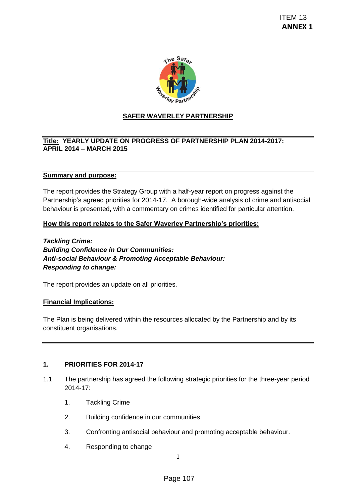

# **SAFER WAVERLEY PARTNERSHIP**

### **Title: YEARLY UPDATE ON PROGRESS OF PARTNERSHIP PLAN 2014-2017: APRIL 2014 – MARCH 2015**

#### **Summary and purpose:**

The report provides the Strategy Group with a half-year report on progress against the Partnership's agreed priorities for 2014-17. A borough-wide analysis of crime and antisocial behaviour is presented, with a commentary on crimes identified for particular attention. TEM 13<br>
ANNEX<br>
The Sare<br>
May <sub>Patri</sub>es<br>
The RELEY PARTNERSHIP PLAN 2014-2017:<br>
The half-year report on progress against the<br>
17. A borough-wide analysis of crime and antisocial<br>
The A borough-wide analysis of crime and ant

#### **How this report relates to the Safer Waverley Partnership's priorities:**

*Tackling Crime: Building Confidence in Our Communities: Anti-social Behaviour & Promoting Acceptable Behaviour: Responding to change:*

The report provides an update on all priorities.

#### **Financial Implications:**

The Plan is being delivered within the resources allocated by the Partnership and by its constituent organisations.

### **1. PRIORITIES FOR 2014-17**

- 1.1 The partnership has agreed the following strategic priorities for the three-year period 2014-17:
	- 1. Tackling Crime
	- 2. Building confidence in our communities
	- 3. Confronting antisocial behaviour and promoting acceptable behaviour.
	- 4. Responding to change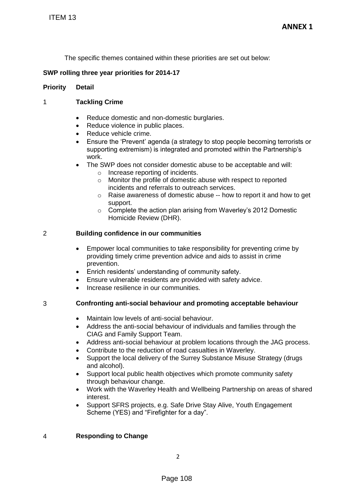The specific themes contained within these priorities are set out below:

## **SWP rolling three year priorities for 2014-17**

## **Priority Detail**

# 1 **Tackling Crime**

- Reduce domestic and non-domestic burglaries.
- Reduce violence in public places.
- Reduce vehicle crime.
- Ensure the 'Prevent' agenda (a strategy to stop people becoming terrorists or supporting extremism) is integrated and promoted within the Partnership's work.
- The SWP does not consider domestic abuse to be acceptable and will:
	- o Increase reporting of incidents.
		- o Monitor the profile of domestic abuse with respect to reported incidents and referrals to outreach services.
		- o Raise awareness of domestic abuse -- how to report it and how to get support.
		- o Complete the action plan arising from Waverley's 2012 Domestic Homicide Review (DHR).

## 2 **Building confidence in our communities**

- Empower local communities to take responsibility for preventing crime by providing timely crime prevention advice and aids to assist in crime prevention. TTEM 13<br>
The specific themes contained within these<br>
WP rolling three year priorities for 2014-17<br>
Tority<br>
Detail<br>
Tackling Crime<br>
• Reduce vehicle crime.<br>
• Reduce vehicle crime.<br>
• Eventer Republic places.<br>
• Eventer Rep
	- Enrich residents' understanding of community safety.
	- Ensure vulnerable residents are provided with safety advice.
	- Increase resilience in our communities.

# 3 **Confronting anti-social behaviour and promoting acceptable behaviour**

- Maintain low levels of anti-social behaviour.
- Address the anti-social behaviour of individuals and families through the CIAG and Family Support Team.
- Address anti-social behaviour at problem locations through the JAG process.
- Contribute to the reduction of road casualties in Waverley.
- Support the local delivery of the Surrey Substance Misuse Strategy (drugs and alcohol).
- Support local public health objectives which promote community safety through behaviour change.
- Work with the Waverley Health and Wellbeing Partnership on areas of shared interest.
- Support SFRS projects, e.g. Safe Drive Stay Alive, Youth Engagement Scheme (YES) and "Firefighter for a day".

# 4 **Responding to Change**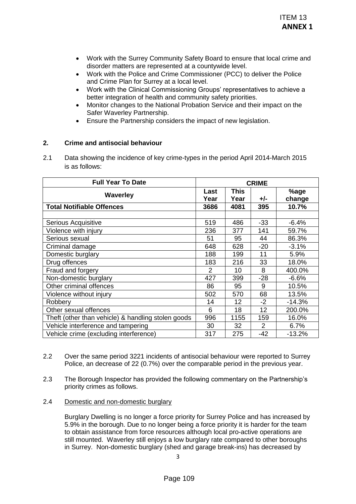- Work with the Surrey Community Safety Board to ensure that local crime and disorder matters are represented at a countywide level.
- Work with the Police and Crime Commissioner (PCC) to deliver the Police and Crime Plan for Surrey at a local level.
- Work with the Clinical Commissioning Groups' representatives to achieve a better integration of health and community safety priorities.
- Monitor changes to the National Probation Service and their impact on the Safer Waverley Partnership.
- Ensure the Partnership considers the impact of new legislation.

#### **2. Crime and antisocial behaviour**

|            |                                                                                                                                                                                                                                                                                                                                                                                                                                                                                                                                                                                                                                                                                                        |                |                     |              | <b>ITEM 13</b><br><b>ANNEX 1</b> |
|------------|--------------------------------------------------------------------------------------------------------------------------------------------------------------------------------------------------------------------------------------------------------------------------------------------------------------------------------------------------------------------------------------------------------------------------------------------------------------------------------------------------------------------------------------------------------------------------------------------------------------------------------------------------------------------------------------------------------|----------------|---------------------|--------------|----------------------------------|
| 2.         | Work with the Surrey Community Safety Board to ensure that local crime and<br>$\bullet$<br>disorder matters are represented at a countywide level.<br>Work with the Police and Crime Commissioner (PCC) to deliver the Police<br>$\bullet$<br>and Crime Plan for Surrey at a local level.<br>Work with the Clinical Commissioning Groups' representatives to achieve a<br>$\bullet$<br>better integration of health and community safety priorities.<br>Monitor changes to the National Probation Service and their impact on the<br>$\bullet$<br>Safer Waverley Partnership.<br>Ensure the Partnership considers the impact of new legislation.<br>$\bullet$<br><b>Crime and antisocial behaviour</b> |                |                     |              |                                  |
| 2.1        | Data showing the incidence of key crime-types in the period April 2014-March 2015<br>is as follows:                                                                                                                                                                                                                                                                                                                                                                                                                                                                                                                                                                                                    |                |                     |              |                                  |
|            | <b>Full Year To Date</b>                                                                                                                                                                                                                                                                                                                                                                                                                                                                                                                                                                                                                                                                               |                |                     | <b>CRIME</b> |                                  |
|            | <b>Waverley</b>                                                                                                                                                                                                                                                                                                                                                                                                                                                                                                                                                                                                                                                                                        | Last<br>Year   | <b>This</b><br>Year | $+/-$        | %age<br>change                   |
|            | <b>Total Notifiable Offences</b>                                                                                                                                                                                                                                                                                                                                                                                                                                                                                                                                                                                                                                                                       | 3686           | 4081                | 395          | 10.7%                            |
|            |                                                                                                                                                                                                                                                                                                                                                                                                                                                                                                                                                                                                                                                                                                        |                |                     |              |                                  |
|            | Serious Acquisitive                                                                                                                                                                                                                                                                                                                                                                                                                                                                                                                                                                                                                                                                                    | 519            | 486                 | $-33$        | $-6.4%$                          |
|            | Violence with injury                                                                                                                                                                                                                                                                                                                                                                                                                                                                                                                                                                                                                                                                                   | 236            | 377                 | 141          | 59.7%                            |
|            | Serious sexual                                                                                                                                                                                                                                                                                                                                                                                                                                                                                                                                                                                                                                                                                         | 51             | 95                  | 44           | 86.3%                            |
|            | Criminal damage                                                                                                                                                                                                                                                                                                                                                                                                                                                                                                                                                                                                                                                                                        | 648            | 628                 | $-20$        | $-3.1%$                          |
|            | Domestic burglary                                                                                                                                                                                                                                                                                                                                                                                                                                                                                                                                                                                                                                                                                      | 188            | 199                 | 11           | 5.9%                             |
|            | Drug offences                                                                                                                                                                                                                                                                                                                                                                                                                                                                                                                                                                                                                                                                                          | 183            | 216                 | 33           | 18.0%                            |
|            | Fraud and forgery                                                                                                                                                                                                                                                                                                                                                                                                                                                                                                                                                                                                                                                                                      | $\overline{2}$ | 10                  | 8            | 400.0%                           |
|            | Non-domestic burglary                                                                                                                                                                                                                                                                                                                                                                                                                                                                                                                                                                                                                                                                                  | 427            | 399                 | $-28$        | $-6.6%$                          |
|            | Other criminal offences                                                                                                                                                                                                                                                                                                                                                                                                                                                                                                                                                                                                                                                                                | 86             | 95                  | 9            | 10.5%                            |
|            | Violence without injury                                                                                                                                                                                                                                                                                                                                                                                                                                                                                                                                                                                                                                                                                | 502            | 570                 | 68           | 13.5%                            |
|            | Robbery                                                                                                                                                                                                                                                                                                                                                                                                                                                                                                                                                                                                                                                                                                | 14             | 12                  | $-2$         | $-14.3%$                         |
|            | Other sexual offences                                                                                                                                                                                                                                                                                                                                                                                                                                                                                                                                                                                                                                                                                  | 6              | 18                  | 12           | 200.0%                           |
|            | Theft (other than vehicle) & handling stolen goods                                                                                                                                                                                                                                                                                                                                                                                                                                                                                                                                                                                                                                                     | 996            | 1155                | 159          | 16.0%                            |
|            | Vehicle interference and tampering<br>Vehicle crime (excluding interference)                                                                                                                                                                                                                                                                                                                                                                                                                                                                                                                                                                                                                           | 30<br>317      | 32<br>275           | 2<br>$-42$   | 6.7%                             |
|            |                                                                                                                                                                                                                                                                                                                                                                                                                                                                                                                                                                                                                                                                                                        |                |                     |              | $-13.2%$                         |
| 2.2<br>2.3 | Over the same period 3221 incidents of antisocial behaviour were reported to Surrey<br>Police, an decrease of 22 (0.7%) over the comparable period in the previous year.<br>The Borough Inspector has provided the following commentary on the Partnership's<br>priority crimes as follows.                                                                                                                                                                                                                                                                                                                                                                                                            |                |                     |              |                                  |
| 2.4        | Domestic and non-domestic burglary                                                                                                                                                                                                                                                                                                                                                                                                                                                                                                                                                                                                                                                                     |                |                     |              |                                  |
|            | Burglary Dwelling is no longer a force priority for Surrey Police and has increased by<br>5.9% in the borough. Due to no longer being a force priority it is harder for the team<br>to obtain assistance from force resources although local pro-active operations are<br>still mounted. Waverley still enjoys a low burglary rate compared to other boroughs<br>in Surrey. Non-domestic burglary (shed and garage break-ins) has decreased by<br>3                                                                                                                                                                                                                                                    |                |                     |              |                                  |
|            | Page 109                                                                                                                                                                                                                                                                                                                                                                                                                                                                                                                                                                                                                                                                                               |                |                     |              |                                  |

- 2.2 Over the same period 3221 incidents of antisocial behaviour were reported to Surrey Police, an decrease of 22 (0.7%) over the comparable period in the previous year.
- 2.3 The Borough Inspector has provided the following commentary on the Partnership's priority crimes as follows.
- 2.4 Domestic and non-domestic burglary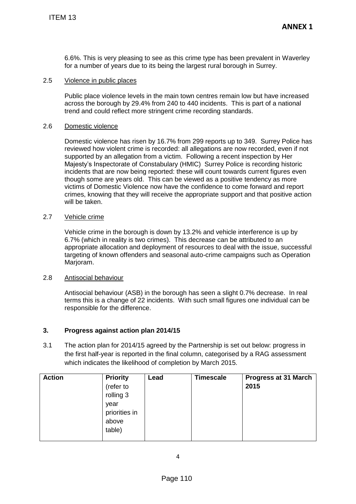### 2.5 Violence in public places

#### 2.6 Domestic violence

### 2.7 Vehicle crime

### 2.8 Antisocial behaviour

### **3. Progress against action plan 2014/15**

|               | <b>ITEM 13</b>                                                                                                                                                                                                                                                                                                                                                                                                                                                                                                                                                                                                                                                                                                             |                                                                                       |                |                  | <b>ANNEX 1</b>               |
|---------------|----------------------------------------------------------------------------------------------------------------------------------------------------------------------------------------------------------------------------------------------------------------------------------------------------------------------------------------------------------------------------------------------------------------------------------------------------------------------------------------------------------------------------------------------------------------------------------------------------------------------------------------------------------------------------------------------------------------------------|---------------------------------------------------------------------------------------|----------------|------------------|------------------------------|
|               | 6.6%. This is very pleasing to see as this crime type has been prevalent in Waverley<br>for a number of years due to its being the largest rural borough in Surrey.                                                                                                                                                                                                                                                                                                                                                                                                                                                                                                                                                        |                                                                                       |                |                  |                              |
| 2.5           | Violence in public places                                                                                                                                                                                                                                                                                                                                                                                                                                                                                                                                                                                                                                                                                                  |                                                                                       |                |                  |                              |
|               | Public place violence levels in the main town centres remain low but have increased<br>across the borough by 29.4% from 240 to 440 incidents. This is part of a national<br>trend and could reflect more stringent crime recording standards.                                                                                                                                                                                                                                                                                                                                                                                                                                                                              |                                                                                       |                |                  |                              |
| 2.6           | Domestic violence                                                                                                                                                                                                                                                                                                                                                                                                                                                                                                                                                                                                                                                                                                          |                                                                                       |                |                  |                              |
|               | Domestic violence has risen by 16.7% from 299 reports up to 349. Surrey Police has<br>reviewed how violent crime is recorded: all allegations are now recorded, even if not<br>supported by an allegation from a victim. Following a recent inspection by Her<br>Majesty's Inspectorate of Constabulary (HMIC) Surrey Police is recording historic<br>incidents that are now being reported: these will count towards current figures even<br>though some are years old. This can be viewed as a positive tendency as more<br>victims of Domestic Violence now have the confidence to come forward and report<br>crimes, knowing that they will receive the appropriate support and that positive action<br>will be taken. |                                                                                       |                |                  |                              |
| 2.7           | Vehicle crime                                                                                                                                                                                                                                                                                                                                                                                                                                                                                                                                                                                                                                                                                                              |                                                                                       |                |                  |                              |
|               | Vehicle crime in the borough is down by 13.2% and vehicle interference is up by<br>6.7% (which in reality is two crimes). This decrease can be attributed to an<br>appropriate allocation and deployment of resources to deal with the issue, successful<br>targeting of known offenders and seasonal auto-crime campaigns such as Operation<br>Marjoram.                                                                                                                                                                                                                                                                                                                                                                  |                                                                                       |                |                  |                              |
| 2.8           | Antisocial behaviour                                                                                                                                                                                                                                                                                                                                                                                                                                                                                                                                                                                                                                                                                                       |                                                                                       |                |                  |                              |
|               | Antisocial behaviour (ASB) in the borough has seen a slight 0.7% decrease. In real<br>terms this is a change of 22 incidents. With such small figures one individual can be<br>responsible for the difference.                                                                                                                                                                                                                                                                                                                                                                                                                                                                                                             |                                                                                       |                |                  |                              |
| 3.            |                                                                                                                                                                                                                                                                                                                                                                                                                                                                                                                                                                                                                                                                                                                            | Progress against action plan 2014/15                                                  |                |                  |                              |
| 3.1           | The action plan for 2014/15 agreed by the Partnership is set out below: progress in<br>the first half-year is reported in the final column, categorised by a RAG assessment<br>which indicates the likelihood of completion by March 2015.                                                                                                                                                                                                                                                                                                                                                                                                                                                                                 |                                                                                       |                |                  |                              |
| <b>Action</b> |                                                                                                                                                                                                                                                                                                                                                                                                                                                                                                                                                                                                                                                                                                                            | <b>Priority</b><br>(refer to<br>rolling 3<br>year<br>priorities in<br>above<br>table) | Lead           | <b>Timescale</b> | Progress at 31 March<br>2015 |
|               |                                                                                                                                                                                                                                                                                                                                                                                                                                                                                                                                                                                                                                                                                                                            |                                                                                       | $\overline{4}$ |                  |                              |
|               | Page 110                                                                                                                                                                                                                                                                                                                                                                                                                                                                                                                                                                                                                                                                                                                   |                                                                                       |                |                  |                              |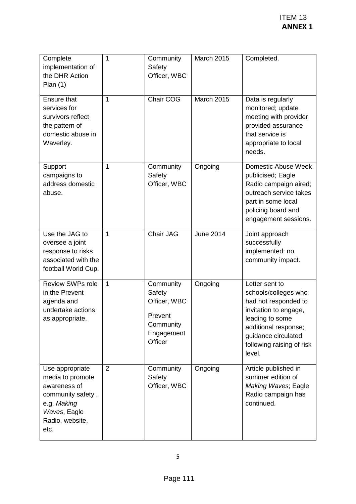|                                                                                                                                    |                |                                                                                      |                   | <b>ITEM 13</b><br><b>ANNEX 1</b>                                                                                                                                                                 |
|------------------------------------------------------------------------------------------------------------------------------------|----------------|--------------------------------------------------------------------------------------|-------------------|--------------------------------------------------------------------------------------------------------------------------------------------------------------------------------------------------|
| Complete<br>implementation of<br>the DHR Action<br>Plan $(1)$                                                                      | $\mathbf{1}$   | Community<br>Safety<br>Officer, WBC                                                  | <b>March 2015</b> | Completed.                                                                                                                                                                                       |
| <b>Ensure that</b><br>services for<br>survivors reflect<br>the pattern of<br>domestic abuse in<br>Waverley.                        | $\mathbf{1}$   | Chair COG                                                                            | <b>March 2015</b> | Data is regularly<br>monitored; update<br>meeting with provider<br>provided assurance<br>that service is<br>appropriate to local<br>needs.                                                       |
| Support<br>campaigns to<br>address domestic<br>abuse.                                                                              | 1              | Community<br>Safety<br>Officer, WBC                                                  | Ongoing           | Domestic Abuse Week<br>publicised; Eagle<br>Radio campaign aired;<br>outreach service takes<br>part in some local<br>policing board and<br>engagement sessions.                                  |
| Use the JAG to<br>oversee a joint<br>response to risks<br>associated with the<br>football World Cup.                               | 1              | Chair JAG                                                                            | <b>June 2014</b>  | Joint approach<br>successfully<br>implemented: no<br>community impact.                                                                                                                           |
| Review SWPs role<br>in the Prevent<br>agenda and<br>undertake actions<br>as appropriate.                                           | $\overline{1}$ | Community<br>Safety<br>Officer, WBC<br>Prevent<br>Community<br>Engagement<br>Officer | Ongoing           | Letter sent to<br>schools/colleges who<br>had not responded to<br>invitation to engage,<br>leading to some<br>additional response;<br>guidance circulated<br>following raising of risk<br>level. |
| Use appropriate<br>media to promote<br>awareness of<br>community safety,<br>e.g. Making<br>Waves, Eagle<br>Radio, website,<br>etc. | $\overline{2}$ | Community<br>Safety<br>Officer, WBC                                                  | Ongoing           | Article published in<br>summer edition of<br>Making Waves; Eagle<br>Radio campaign has<br>continued.                                                                                             |
| 5                                                                                                                                  |                |                                                                                      |                   |                                                                                                                                                                                                  |
|                                                                                                                                    |                | Page 111                                                                             |                   |                                                                                                                                                                                                  |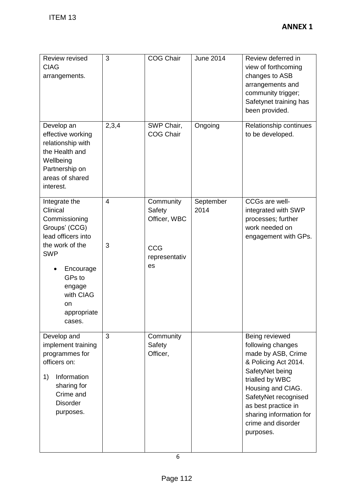| <b>ITEM 13</b>                                                                                                                                       |                |                                     |                   | <b>ANNEX 1</b>                                                                                                                                                                                                                               |  |
|------------------------------------------------------------------------------------------------------------------------------------------------------|----------------|-------------------------------------|-------------------|----------------------------------------------------------------------------------------------------------------------------------------------------------------------------------------------------------------------------------------------|--|
|                                                                                                                                                      |                |                                     |                   |                                                                                                                                                                                                                                              |  |
| Review revised<br><b>CIAG</b><br>arrangements.                                                                                                       | 3              | <b>COG Chair</b>                    | <b>June 2014</b>  | Review deferred in<br>view of forthcoming<br>changes to ASB<br>arrangements and<br>community trigger;<br>Safetynet training has<br>been provided.                                                                                            |  |
| Develop an<br>effective working<br>relationship with<br>the Health and<br>Wellbeing<br>Partnership on<br>areas of shared<br>interest.                | 2,3,4          | SWP Chair,<br><b>COG Chair</b>      | Ongoing           | Relationship continues<br>to be developed.                                                                                                                                                                                                   |  |
| Integrate the<br>Clinical<br>Commissioning<br>Groups' (CCG)<br>lead officers into                                                                    | $\overline{4}$ | Community<br>Safety<br>Officer, WBC | September<br>2014 | CCGs are well-<br>integrated with SWP<br>processes; further<br>work needed on<br>engagement with GPs.                                                                                                                                        |  |
| the work of the<br><b>SWP</b><br>Encourage<br>GPs to<br>engage<br>with CIAG<br>on<br>appropriate<br>cases.                                           | 3              | <b>CCG</b><br>representativ<br>es   |                   |                                                                                                                                                                                                                                              |  |
| Develop and<br>implement training<br>programmes for<br>officers on:<br>1)<br>Information<br>sharing for<br>Crime and<br><b>Disorder</b><br>purposes. | 3              | Community<br>Safety<br>Officer,     |                   | Being reviewed<br>following changes<br>made by ASB, Crime<br>& Policing Act 2014.<br>SafetyNet being<br>trialled by WBC<br>Housing and CIAG.<br>SafetyNet recognised<br>as best practice in<br>sharing information for<br>crime and disorder |  |
|                                                                                                                                                      |                | 6                                   |                   | purposes.                                                                                                                                                                                                                                    |  |
|                                                                                                                                                      | Page 112       |                                     |                   |                                                                                                                                                                                                                                              |  |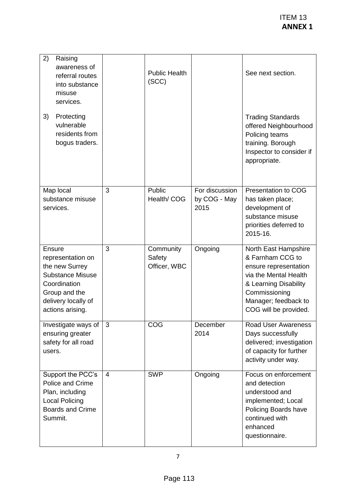|                                                                                                                                                      |                |                                     |                                        | <b>ITEM 13</b><br><b>ANNEX 1</b>                                                                                                                                                      |  |
|------------------------------------------------------------------------------------------------------------------------------------------------------|----------------|-------------------------------------|----------------------------------------|---------------------------------------------------------------------------------------------------------------------------------------------------------------------------------------|--|
| 2)<br>Raising<br>awareness of<br>referral routes<br>into substance<br>misuse<br>services.                                                            |                | <b>Public Health</b><br>(SCC)       |                                        | See next section.                                                                                                                                                                     |  |
| 3)<br>Protecting<br>vulnerable<br>residents from<br>bogus traders.                                                                                   |                |                                     |                                        | <b>Trading Standards</b><br>offered Neighbourhood<br>Policing teams<br>training. Borough<br>Inspector to consider if<br>appropriate.                                                  |  |
| Map local<br>substance misuse<br>services.                                                                                                           | 3              | Public<br>Health/COG                | For discussion<br>by COG - May<br>2015 | Presentation to COG<br>has taken place;<br>development of<br>substance misuse<br>priorities deferred to<br>2015-16.                                                                   |  |
| Ensure<br>representation on<br>the new Surrey<br><b>Substance Misuse</b><br>Coordination<br>Group and the<br>delivery locally of<br>actions arising. | 3              | Community<br>Safety<br>Officer, WBC | Ongoing                                | North East Hampshire<br>& Farnham CCG to<br>ensure representation<br>via the Mental Health<br>& Learning Disability<br>Commissioning<br>Manager; feedback to<br>COG will be provided. |  |
| Investigate ways of<br>ensuring greater<br>safety for all road<br>users.                                                                             | 3              | COG                                 | December<br>2014                       | <b>Road User Awareness</b><br>Days successfully<br>delivered; investigation<br>of capacity for further<br>activity under way.                                                         |  |
| Support the PCC's<br>Police and Crime<br>Plan, including<br><b>Local Policing</b><br><b>Boards and Crime</b><br>Summit.                              | $\overline{4}$ | <b>SWP</b>                          | Ongoing                                | Focus on enforcement<br>and detection<br>understood and<br>implemented; Local<br>Policing Boards have<br>continued with<br>enhanced<br>questionnaire.                                 |  |
| $\overline{7}$                                                                                                                                       |                |                                     |                                        |                                                                                                                                                                                       |  |
|                                                                                                                                                      | Page 113       |                                     |                                        |                                                                                                                                                                                       |  |